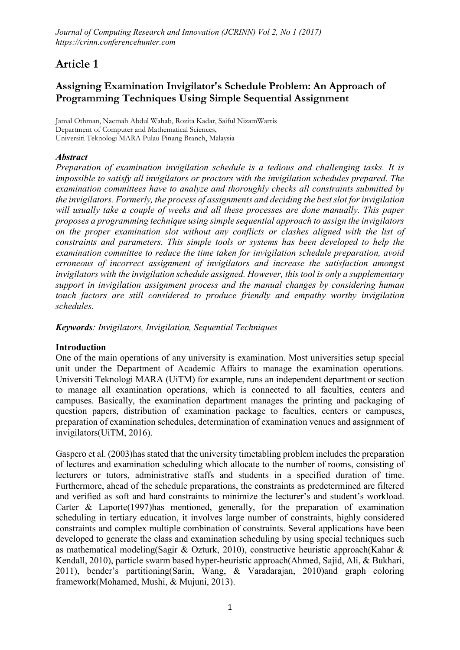# Article 1

## Assigning Examination Invigilator's Schedule Problem: An Approach of Programming Techniques Using Simple Sequential Assignment

**Jamal Othman, Naemah Abdul Wahab, Rozita Kadar, Saiful NizamWarris Department of Computer and Mathematical Sciences, Universiti Teknologi MARA Pulau Pinang Branch, Malaysia**

## *Abstract*

*Preparation of examination invigilation schedule is a tedious and challenging tasks. It is impossible to satisfy all invigilators or proctors with the invigilation schedules prepared. The examination committees have to analyze and thoroughly checks all constraints submitted by the invigilators. Formerly, the process of assignments and deciding the best slot for invigilation will usually take a couple of weeks and all these processes are done manually. This paper proposes a programming technique using simple sequential approach to assign the invigilators on the proper examination slot without any conflicts or clashes aligned with the list of constraints and parameters. This simple tools or systems has been developed to help the examination committee to reduce the time taken for invigilation schedule preparation, avoid erroneous of incorrect assignment of invigilators and increase the satisfaction amongst invigilators with the invigilation schedule assigned. However, this tool is only a supplementary support in invigilation assignment process and the manual changes by considering human touch factors are still considered to produce friendly and empathy worthy invigilation schedules.* 

*Keywords: Invigilators, Invigilation, Sequential Techniques*

### Introduction

One of the main operations of any university is examination. Most universities setup special unit under the Department of Academic Affairs to manage the examination operations. Universiti Teknologi MARA (UiTM) for example, runs an independent department or section to manage all examination operations, which is connected to all faculties, centers and campuses. Basically, the examination department manages the printing and packaging of question papers, distribution of examination package to faculties, centers or campuses, preparation of examination schedules, determination of examination venues and assignment of invigilators(UiTM, 2016).

Gaspero et al. (2003)has stated that the university timetabling problem includes the preparation of lectures and examination scheduling which allocate to the number of rooms, consisting of lecturers or tutors, administrative staffs and students in a specified duration of time. Furthermore, ahead of the schedule preparations, the constraints as predetermined are filtered and verified as soft and hard constraints to minimize the lecturer's and student's workload. Carter & Laporte(1997)has mentioned, generally, for the preparation of examination scheduling in tertiary education, it involves large number of constraints, highly considered constraints and complex multiple combination of constraints. Several applications have been developed to generate the class and examination scheduling by using special techniques such as mathematical modeling(Sagir & Ozturk, 2010), constructive heuristic approach(Kahar & Kendall, 2010), particle swarm based hyper-heuristic approach(Ahmed, Sajid, Ali, & Bukhari, 2011), bender's partitioning(Sarin, Wang, & Varadarajan, 2010)and graph coloring framework(Mohamed, Mushi, & Mujuni, 2013).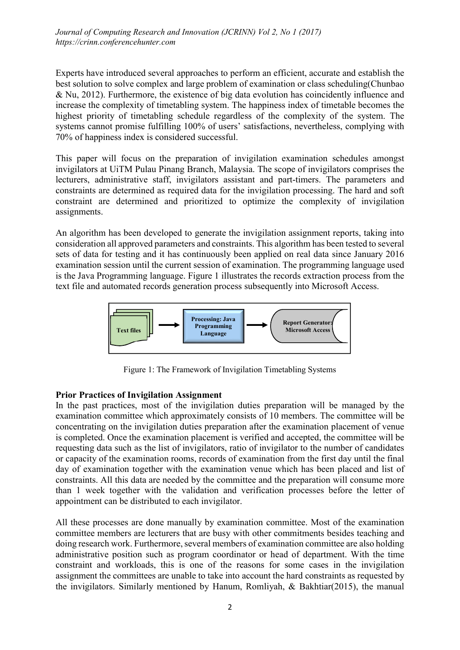Experts have introduced several approaches to perform an efficient, accurate and establish the best solution to solve complex and large problem of examination or class scheduling(Chunbao & Nu, 2012). Furthermore, the existence of big data evolution has coincidently influence and increase the complexity of timetabling system. The happiness index of timetable becomes the highest priority of timetabling schedule regardless of the complexity of the system. The systems cannot promise fulfilling 100% of users' satisfactions, nevertheless, complying with 70% of happiness index is considered successful.

This paper will focus on the preparation of invigilation examination schedules amongst invigilators at UiTM Pulau Pinang Branch, Malaysia. The scope of invigilators comprises the lecturers, administrative staff, invigilators assistant and part-timers. The parameters and constraints are determined as required data for the invigilation processing. The hard and soft constraint are determined and prioritized to optimize the complexity of invigilation assignments.

An algorithm has been developed to generate the invigilation assignment reports, taking into consideration all approved parameters and constraints. This algorithm has been tested to several sets of data for testing and it has continuously been applied on real data since January 2016 examination session until the current session of examination. The programming language used is the Java Programming language. Figure 1 illustrates the records extraction process from the text file and automated records generation process subsequently into Microsoft Access.



Figure 1: The Framework of Invigilation Timetabling Systems

### Prior Practices of Invigilation Assignment

In the past practices, most of the invigilation duties preparation will be managed by the examination committee which approximately consists of 10 members. The committee will be concentrating on the invigilation duties preparation after the examination placement of venue is completed. Once the examination placement is verified and accepted, the committee will be requesting data such as the list of invigilators, ratio of invigilator to the number of candidates or capacity of the examination rooms, records of examination from the first day until the final day of examination together with the examination venue which has been placed and list of constraints. All this data are needed by the committee and the preparation will consume more than 1 week together with the validation and verification processes before the letter of appointment can be distributed to each invigilator.

All these processes are done manually by examination committee. Most of the examination committee members are lecturers that are busy with other commitments besides teaching and doing research work. Furthermore, several members of examination committee are also holding administrative position such as program coordinator or head of department. With the time constraint and workloads, this is one of the reasons for some cases in the invigilation assignment the committees are unable to take into account the hard constraints as requested by the invigilators. Similarly mentioned by Hanum, Romliyah, & Bakhtiar(2015), the manual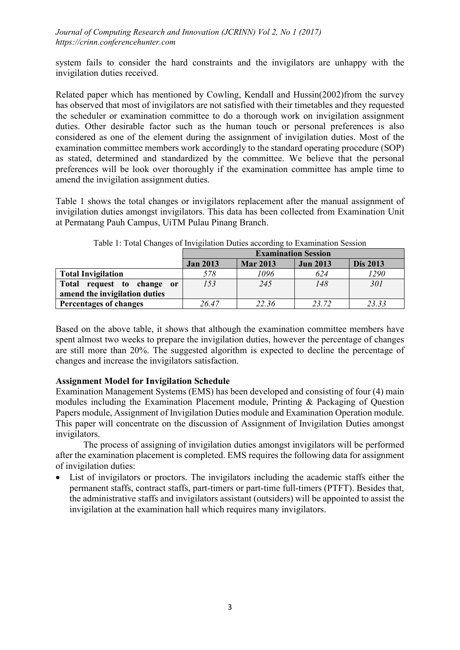system fails to consider the hard constraints and the invigilators are unhappy with the invigilation duties received.

Related paper which has mentioned by Cowling, Kendall and Hussin(2002)from the survey has observed that most of invigilators are not satisfied with their timetables and they requested the scheduler or examination committee to do a thorough work on invigilation assignment duties. Other desirable factor such as the human touch or personal preferences is also considered as one of the element during the assignment of invigilation duties. Most of the examination committee members work accordingly to the standard operating procedure (SOP) as stated, determined and standardized by the committee. We believe that the personal preferences will be look over thoroughly if the examination committee has ample time to amend the invigilation assignment duties.

Table 1 shows the total changes or invigilators replacement after the manual assignment of invigilation duties amongst invigilators. This data has been collected from Examination Unit at Permatang Pauh Campus, UiTM Pulau Pinang Branch.

|                               | <b>Examination Session</b> |                 |                 |                 |  |  |  |  |  |
|-------------------------------|----------------------------|-----------------|-----------------|-----------------|--|--|--|--|--|
|                               | <b>Jan 2013</b>            | <b>Mar 2013</b> | <b>Jun 2013</b> | <b>Dis 2013</b> |  |  |  |  |  |
| <b>Total Invigilation</b>     | 578                        | 1096            | 624             | 1290            |  |  |  |  |  |
| Total request to change or    | 153                        | 245             | 148             | 30 <sub>I</sub> |  |  |  |  |  |
| amend the invigilation duties |                            |                 |                 |                 |  |  |  |  |  |
| <b>Percentages of changes</b> | 26.47                      | 22.36           | 23.72           | 23.33           |  |  |  |  |  |

Table 1: Total Changes of Invigilation Duties according to Examination Session

Based on the above table, it shows that although the examination committee members have spent almost two weeks to prepare the invigilation duties, however the percentage of changes are still more than 20%. The suggested algorithm is expected to decline the percentage of changes and increase the invigilators satisfaction.

## Assignment Model for Invigilation Schedule

Examination Management Systems (EMS) has been developed and consisting of four (4) main modules including the Examination Placement module, Printing & Packaging of Question Papers module, Assignment of Invigilation Duties module and Examination Operation module. This paper will concentrate on the discussion of Assignment of Invigilation Duties amongst invigilators.

The process of assigning of invigilation duties amongst invigilators will be performed after the examination placement is completed. EMS requires the following data for assignment of invigilation duties:

 List of invigilators or proctors. The invigilators including the academic staffs either the permanent staffs, contract staffs, part-timers or part-time full-timers (PTFT). Besides that, the administrative staffs and invigilators assistant (outsiders) will be appointed to assist the invigilation at the examination hall which requires many invigilators.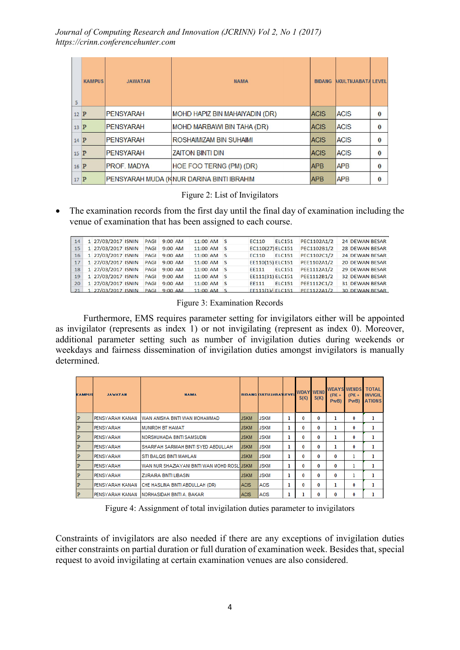| 5      | <b>KAMPUS</b> | <b>JAWATAN</b>     | <b>NAMA</b>                               | <b>BIDANG</b> | <b>AKULTI/JABATA LEVEL</b> |              |
|--------|---------------|--------------------|-------------------------------------------|---------------|----------------------------|--------------|
| $12$ P |               | <b>PENSYARAH</b>   | MOHD HAPIZ BIN MAHAIYADIN (DR)            | <b>ACIS</b>   | <b>ACIS</b>                | $\mathbf{0}$ |
| $13$ P |               | <b>PENSYARAH</b>   | <b>MOHD MARBAWI BIN TAHA (DR)</b>         | <b>ACIS</b>   | <b>ACIS</b>                | $\mathbf{0}$ |
| $14$ P |               | <b>PENSYARAH</b>   | ROSHAIMIZAM BIN SUHAIMI                   | <b>ACIS</b>   | <b>ACIS</b>                | $\bf{0}$     |
| $15$ P |               | <b>PENSYARAH</b>   | <b>ZAITON BINTI DIN</b>                   | <b>ACIS</b>   | <b>ACIS</b>                | $\bf{0}$     |
| $16$ P |               | <b>PROF. MADYA</b> | HOE FOO TERNG (PM) (DR)                   | <b>APB</b>    | <b>APB</b>                 | $\bf{0}$     |
| $17$ P |               |                    | PENSYARAH MUDA (KNUR DARINA BINTI IBRAHIM | <b>APB</b>    | <b>APB</b>                 | $\bf{0}$     |

#### Figure 2: List of Invigilators

 The examination records from the first day until the final day of examination including the venue of examination that has been assigned to each course.

| 14 | 1 27/03/2017 ISNIN    | <b>PAGI</b> | $9:00$ AM | 11:00 AM S   |  | EC110            | <b>ELC151</b> | PEC1102A1/2 | 24 DEWAN BESAR        |
|----|-----------------------|-------------|-----------|--------------|--|------------------|---------------|-------------|-----------------------|
| 15 | 1 27/03/2017 ISNIN    | PAGI        | 9:00 AM   | 11:00 AM S   |  | EC110(27) ELC151 |               | PEC1102B1/2 | 28 DEWAN BESAR        |
| 16 | 1 27/03/2017 ISNIN    | PAGL        | $9:00$ AM | 11:00 AM S   |  | <b>EC110</b>     | <b>ELC151</b> | PEC1102C1/2 | 24 DEWAN BESAR        |
| 17 | 1 27/03/2017 ISNIN    | <b>PAGI</b> | $9:00$ AM | 11:00 AM S   |  | EE110(15) ELC151 |               | PEE1102A1/2 | <b>20 DEWAN BESAR</b> |
| 18 | 1 27/03/2017 ISNIN    | PAGI        | 9:00 AM   | 11:00 AM S   |  | EE111            | <b>ELC151</b> | PEE1112A1/2 | <b>29 DEWAN BESAR</b> |
| 19 | 1 27/03/2017 ISNIN    | <b>PAGI</b> | $9:00$ AM | 11:00 AM S   |  | EE111(31) ELC151 |               | PEE1112B1/2 | 32 DEWAN BESAR        |
| 20 | 1 27/03/2017 ISNIN    | PAGL        | 9:00 AM   | $11:00$ AM S |  | FF111            | <b>ELC151</b> | PEE1112C1/2 | <b>31 DEWAN BESAR</b> |
|    | 21 1 27/03/2017 ISNIN | PAGL        | $9:00$ AM | 11:00 AM S   |  | FF111(1)/ELC151  |               | PFF1122A1/2 | <b>30 DEWAN BESAR</b> |

Figure 3: Examination Records

Furthermore, EMS requires parameter setting for invigilators either will be appointed as invigilator (represents as index 1) or not invigilating (represent as index 0). Moreover, additional parameter setting such as number of invigilation duties during weekends or weekdays and fairness dissemination of invigilation duties amongst invigilators is manually determined.

| <b>KAMPUS</b> | <b>JAWATAN</b>  | <b>NAMA</b>                                 |             | <b>BIDANG KULTI/JABATLEVEL</b> |   | S(K) | <b>WDAY WEND</b><br>S(K) | $(PK +$<br>PwB) | <b>WDAYS WENDS</b><br>$(PK +$<br>PwB) | <b>TOTAL</b><br><b>INVIGIL</b><br><b>ATIONS</b> |
|---------------|-----------------|---------------------------------------------|-------------|--------------------------------|---|------|--------------------------|-----------------|---------------------------------------|-------------------------------------------------|
| P             | PENSYARAH KANAN | <b>IWAN ANISHA BINTI WAN MOHAMMAD</b>       | <b>JSKM</b> | <b>JSKM</b>                    | ı | 0    | 0                        |                 | 0                                     |                                                 |
| P             | PENSYARAH       | <b>MUNIROH BT HAMAT</b>                     | <b>JSKM</b> | <b>JSKM</b>                    |   | 0    | 0                        |                 | 0                                     | ı                                               |
| P             | PENSYARAH       | NORSHUHADA BINTI SAMSUDIN                   | <b>JSKM</b> | <b>JSKM</b>                    | ı | 0    | 0                        | 1               | 0                                     | ı                                               |
| P             | PENSYARAH       | SHARIFAH SARIMAH BINTI SYED ABDULLAH        | <b>JSKM</b> | <b>JSKM</b>                    | ı | 0    | 0                        | ı               | 0                                     | ı                                               |
| P             | PENSYARAH       | SITI BALQIS BINTI MAHLAN                    | <b>JSKM</b> | <b>JSKM</b>                    |   | 0    | 0                        | 0               |                                       |                                                 |
| P             | PENSYARAH       | WAN NUR SHAZIAYANI BINTI WAN MOHD ROSL JSKM |             | <b>JSKM</b>                    | ı | 0    | 0                        | 0               |                                       |                                                 |
| $\mathbf{P}$  | PENSYARAH       | <b>ZURAIRA BINTI LIBASIN</b>                | <b>JSKM</b> | <b>JSKM</b>                    | ı | 0    | 0                        | 0               |                                       |                                                 |
| $\mathbf{P}$  | PENSYARAH KANAN | CHE HASLINA BINTI ABDULLAH (DR)             | <b>ACIS</b> | <b>ACIS</b>                    |   | 0    | 0                        |                 | 0                                     |                                                 |
| $\mathbf{P}$  |                 | PENSYARAH KANAN INORHASIDAH BINTI A. BAKAR  | <b>ACIS</b> | <b>ACIS</b>                    |   |      | 0                        | o               | 0                                     |                                                 |

Figure 4: Assignment of total invigilation duties parameter to invigilators

Constraints of invigilators are also needed if there are any exceptions of invigilation duties either constraints on partial duration or full duration of examination week. Besides that, special request to avoid invigilating at certain examination venues are also considered.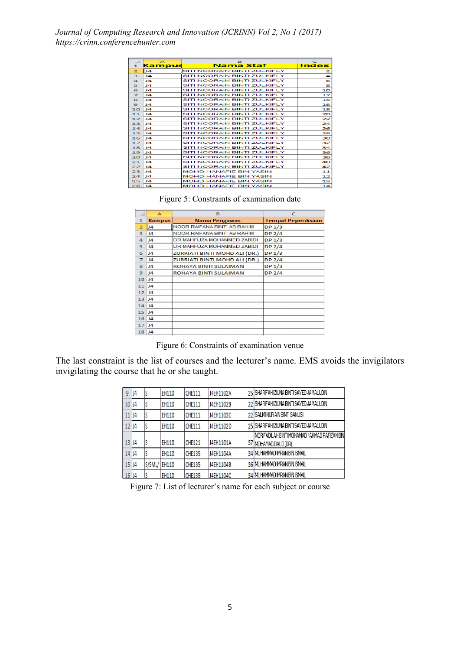|              | $\triangleright$ | в                             | $\mathbf C$  |
|--------------|------------------|-------------------------------|--------------|
| 1.           | <b>Kampus</b>    | <b>Nama Staf</b>              | <b>Index</b> |
| $\mathbf{z}$ | J4               | SITI NOORAIN BINTLZULKIELY    | 2            |
| в            | ıа               | SITI NOORAIN BINTI ZULKIFLY   | 4            |
| 4            | 14               | SITI NOORAIN BINTI ZULKIELY   | 6            |
| 5            | 14               | SITI NOORAIN BINTI ZULKIFLY   | 8            |
| 6            | 14               | SITI NOORAIN BINTI ZULKIFLY   | 10           |
| ⇁            | $\mathbf{A}$     | SITI NOORAIN BINTI ZULKIFLY   | 12           |
| 8            | 14               | SITI NOORAIN BINTLZULKIELY    | 14           |
| $\bullet$    | ıа               | SITI NOORAIN BINTI ZULKIFLY   | 16           |
| 10           | 14               | SITI NOORAIN BINTI ZULKIELY   | 18           |
| 11           | J4               | SITI NOORAIN BINTI ZULKIFLY   | 20           |
| 12           | 14               | SITI NOORAIN BINTI ZULKIELY   | 22           |
| 13           | ıа               | SITI NOORAIN BINTI ZULKIFLY   | 24           |
| 14           | 14               | SITI NOORAIN BINTI ZULKIFLY   | 26           |
| 1.5          | $\mathbf{A}$     | SITI NOORAIN BINTI ZULKIFLY   | 28           |
| 16           | 14               | SITI NOORAIN BINTI ZULKIELY   | зо           |
| 17           | 14               | SITI NOORAIN BINTI ZULKIFLY   | 32           |
| 18           | 14               | SITI NOORAIN BINTI ZULKIFLY   | 34           |
| 19           | $\mathbf{A}$     | SITI NOORAIN BINTI ZULKIFLY   | 36           |
| 20           | 14               | SITI NOORAIN BINTI ZULKIELY   | 38           |
| 21           | 14               | SITI NOORAIN BINTI ZULKIFLY   | 40           |
| 22           | 14               | SITI NOORAIN BINTI ZULKIELY   | 42           |
| 23           | 14               | <b>MOHD HANAFIE BIN YASIN</b> | 11           |
| 24           | $\mathbf{A}$     | <b>MOHD HANAFIE BIN YASIN</b> | 12           |
| 25           | 14               | <b>MOHD HANAFIE BIN YASIN</b> | 13           |
| 26           | J4               | <b>MOHD HANAFIE BIN YASIN</b> | 14           |

Figure 5: Constraints of examination date

|                | А              | в                             | $\epsilon$                |
|----------------|----------------|-------------------------------|---------------------------|
| 1              | <b>Kampus</b>  | <b>Nama Pengawas</b>          | <b>Tempat Peperiksaan</b> |
| $\overline{z}$ | J4             | NOOR RAIFANA BINTI AB RAHIM   | DP <sub>1/3</sub>         |
| 3              | J <sub>4</sub> | NOOR RAIFANA BINTI AB RAHIM   | DP <sub>2/4</sub>         |
| 4              | $\mathbf{I}$   | DR MAHFUZA MOHAMMED ZABIDI    | DP <sub>1/3</sub>         |
| 5              | 14             | DR MAHFUZA MOHAMMED ZABIDI    | DP <sub>2/4</sub>         |
| 6              | J <sub>4</sub> | ZURRIATI BINTI MOHD ALI (DR.) | DP <sub>1/3</sub>         |
| $\overline{z}$ | J <sub>4</sub> | ZURRIATI BINTI MOHD ALI (DR.) | DP $2/4$                  |
| 8              | 14             | <b>ROHAYA BINTI SULAIMAN</b>  | DP <sub>1/3</sub>         |
| 9              | J <sub>4</sub> | ROHAYA BINTI SULAIMAN         | DP $2/4$                  |
| 10             | J <sub>4</sub> |                               |                           |
| 11             | 14             |                               |                           |
| 12             | J <sub>4</sub> |                               |                           |
| 13             | J <sub>4</sub> |                               |                           |
| 14             | 4              |                               |                           |
| 15             | J <sub>4</sub> |                               |                           |
| 16             | <b>J4</b>      |                               |                           |
| 17             | $\mathbf{I}$   |                               |                           |
| 18             | 14             |                               |                           |

Figure 6: Constraints of examination venue

The last constraint is the list of courses and the lecturer's name. EMS avoids the invigilators invigilating the course that he or she taught.

| 9  | J4 | S            | <b>EH110</b> | <b>CHE111</b> | J4EH1102A | 25 SHARIFAH IZIUNA BINTI SAYED JAMALUDIN                               |
|----|----|--------------|--------------|---------------|-----------|------------------------------------------------------------------------|
| 10 | J4 | S            | <b>EH110</b> | <b>CHE111</b> | J4EH1102B | 22 SHARIFAH IZIUNA BINTI SAYED JAMALUDIN                               |
| 11 | J4 | \$           | <b>EH110</b> | <b>CHE111</b> | J4EH1102C | 22 SALMINUR AIN BINTI SANUSI                                           |
| 12 | J4 | S            | <b>EH110</b> | <b>CHE111</b> | J4EH1102D | 25 SHARIFAH IZIUNA BINTI SAYED JAMALUDIN                               |
| 13 | J4 | S            | <b>EH110</b> | <b>CHE121</b> | J4EH1101A | INOR FADLAH BINTI MOHAMAD / AHMAD RAFIZAN BINI<br>37 MOHAMAD DAUD (DR) |
| 14 | J4 |              | <b>EH110</b> | CHE135        | J4EH1104A | 34 MUHAMMAD IMRAN BIN ISMAIL                                           |
| 15 | J4 | S/SML/ EH110 |              | <b>CHE135</b> | J4EH1104B | 36 MUHAMMAD IMRAN BIN ISMAIL                                           |
| 16 | J4 |              | <b>EH110</b> | <b>CHE135</b> | J4EH1104C | 34 MUHAMMAD IMRAN BIN ISMAIL                                           |

Figure 7: List of lecturer's name for each subject or course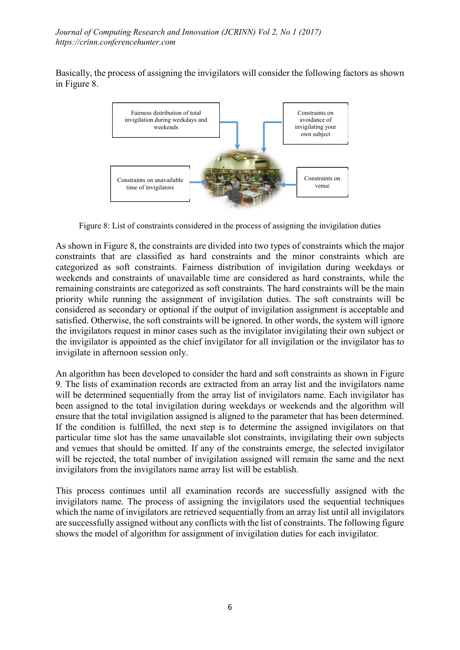Basically, the process of assigning the invigilators will consider the following factors as shown in Figure 8.



Figure 8: List of constraints considered in the process of assigning the invigilation duties

As shown in Figure 8, the constraints are divided into two types of constraints which the major constraints that are classified as hard constraints and the minor constraints which are categorized as soft constraints. Fairness distribution of invigilation during weekdays or weekends and constraints of unavailable time are considered as hard constraints, while the remaining constraints are categorized as soft constraints. The hard constraints will be the main priority while running the assignment of invigilation duties. The soft constraints will be considered as secondary or optional if the output of invigilation assignment is acceptable and satisfied. Otherwise, the soft constraints will be ignored. In other words, the system will ignore the invigilators request in minor cases such as the invigilator invigilating their own subject or the invigilator is appointed as the chief invigilator for all invigilation or the invigilator has to invigilate in afternoon session only.

An algorithm has been developed to consider the hard and soft constraints as shown in Figure 9. The lists of examination records are extracted from an array list and the invigilators name will be determined sequentially from the array list of invigilators name. Each invigilator has been assigned to the total invigilation during weekdays or weekends and the algorithm will ensure that the total invigilation assigned is aligned to the parameter that has been determined. If the condition is fulfilled, the next step is to determine the assigned invigilators on that particular time slot has the same unavailable slot constraints, invigilating their own subjects and venues that should be omitted. If any of the constraints emerge, the selected invigilator will be rejected, the total number of invigilation assigned will remain the same and the next invigilators from the invigilators name array list will be establish.

This process continues until all examination records are successfully assigned with the invigilators name. The process of assigning the invigilators used the sequential techniques which the name of invigilators are retrieved sequentially from an array list until all invigilators are successfully assigned without any conflicts with the list of constraints. The following figure shows the model of algorithm for assignment of invigilation duties for each invigilator.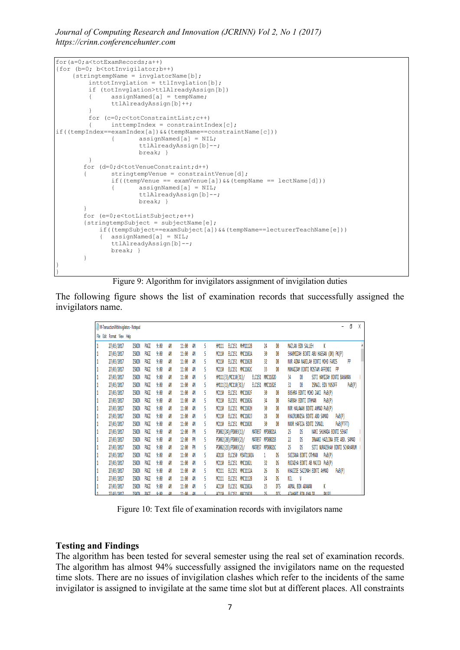*Journal of Computing Research and Innovation (JCRINN) Vol 2, No 1 (2017) https://crinn.conferencehunter.com*

```
for(a=0;a<totExamRecords;a++)
{for (b=0; b<totInvigilator;b++) 
    {stringtempName = invglatorName[b];inttotInvglation = ttlInvglation[b];
        if (totInvglation>ttlAlreadyAssign[b])
        { assignNamed[a] = tempName;
              ttlAlreadyAssign[b]++;
        }
        for (c=0;c<totConstraintList;c++)
        { inttempIndex = constraintIndex[c];
if((tempIndex==examIndex[a])&&(tempName==constraintName[c]))
              { assignNamed[a] = NIL;
                     ttlAlreadyAssign[b]--;
                    break; }
        \lambdafor (d=0:d < d< totVenue Constraint; d++)
       { stringtempVenue = constraintVenue[d];
              if((tempVenue == examVenue[a]) \&& (tempName == lectName[d]))
              { assignNamed[a] = NIL;
                      ttlAlreadyAssign[b]--;
                     break; }
       }
       for (e=0;e<totListSubject;e++)
       {stringtempSubject = subjectName[e];if((tempSubject==examSubject[a])&&(tempName==lecturerTeachName[e]))
           { assignNamed[a] = NIL;
              ttlAlreadyAssign[b]--;
              break; }
       }
}
```


The following figure shows the list of examination records that successfully assigned the invigilators name.

| M-TransactionWithInvigilators - Notepad |              |      |      |    |           |    |   |                                    |                                | Ō<br>χ                                         |
|-----------------------------------------|--------------|------|------|----|-----------|----|---|------------------------------------|--------------------------------|------------------------------------------------|
| File Edit Format View Help              |              |      |      |    |           |    |   |                                    |                                |                                                |
| 27/03/2017                              | ISNIN        | PAGI | 9:00 | AM | 11:00     | AM | S | ELC151 MHM1112B<br>HM111           | 24<br>DB                       | K<br>MAZLAN BIN SALLEH                         |
| 27/03/2017                              | ISNIN        | PAGI | 9:00 | AM | 11:00     | AM | ٢ | MC110<br>ELC151 MWC1102A           | 30<br>DB                       | SHARMIZAH BINTI ABU HASSAN (DR) PK(P)          |
| 27/03/2017                              | ISNIN        | PAGI | 9:00 | AM | 11:00     | AM | S | MC110<br>ELC151 MWC1102B           | 32<br>DB                       | NUR AINA NABILAH BINTI MOHD FARIS<br>PP        |
| 27/03/2017                              | ISNIN        | PAGI | 9:00 | AM | 11:00     | AM | S | ELC151 MWC1102C<br>MC110           | 33<br>DB                       | MUHAIZAM BINTI ROSTAM AFFENDI<br>- PP          |
| 27/03/2017                              | ISNIN        | PAGI | 9:00 | AM | 11:00     | AM | ٢ | HM111(3)/MC110(31)/<br>ELC151      | MMC1102D                       | SITI HAMIZAH BINTI BAHAMAN<br>34<br>DB         |
| 27/03/2017                              | ISNIN        | PAGI | 9:00 | AM | 11:00     | AM | S | HM111(1)/MC110(31)/<br>ELC151      | MMC1102E                       | 32<br>DB<br>ISMAIL BIN YUSOFF<br>PwB(P)        |
| 27/03/2017                              | ISNIN        | PAGI | 9:00 | AM | 11:00     | AM | ٢ | ELC151 MVC1102F<br>MC110           | DB<br>30                       | BUSHRA BINTI MOHD ZAKI PWB(P)                  |
| 27/03/2017                              | ISNIN        | PAGI | 9:00 | AM | 11:00     | AM | ٢ | MC110<br>ELC151 MWC1102G           | 34<br>DB                       | FARRAH BINTI OTHMAN<br>$P_{MB}(P)$             |
| 27/03/2017                              | ISNIN        | PAGI | 9:00 | AM | 11:00     | AM | S | ELC151 MWC1102H<br>MC110           | 30<br>DB                       | NOR HALAWAH BINTI AHMAD PWB(P)                 |
| 27/03/2017                              | ISNIN        | PAGI | 9:00 | AM | 11:00     | AM |   | MC110<br>ELC151 MWC1102J           | 28<br>DB                       | KHAIRUNNISA BINTI ABD SAMAD<br>$P_{W}B(P)$     |
| 27/03/2017                              | ISNIN        | PAGI | 9:00 | AM | 11:00     | AM | ٢ | ELC151 MWC1102K<br>MC110           | 30<br>DB                       | NOOR HAFIZA BINTI ISMAIL<br>PWB(PTFT)          |
| 27/03/2017                              | ISNIN        | PAGI | 9:00 | AM | 12:00     | PM | S | PD002(24)/PD003(1)/<br>MAT037      | MPD0021A                       | $\mathbb{R}$<br>NANI SHUHADA BINTI SEHAT<br>25 |
| 27/03/2017                              | ISNIN        | PAGI | 9:00 | AM | 12:00     | PN | ٢ | PD002(20)/PD003(2)/<br>MAT037      | MPD0021B                       | 22<br>IRWANI HAZLINA BTE ABD, SAMAD<br>DS      |
| 27/03/2017                              | ISNIN        | PAGI | 9:00 | AM | 12:00     | PM | S | PD002(23)/PD003(2)/<br>MAT037      | MPD0021C                       | 25<br>SITI NURAISHAH BINTI SCHAHARUM<br>DS     |
| 27/03/2017                              | ISNIN        | PAGI | 9:00 | AM | 11:00     | AM | ٢ | ELC150 M3AT1102A<br>AD118          | DS<br>1                        | $P_{MB}(P)$<br>SUZZANA BINTI OTHMAN            |
| 27/03/2017                              | ISNIN        | PAGI | 9:00 | AM | 11:00     | AM | ٢ | ELC151 MWC1102L<br>MC110           | DS<br>32                       | ROZAIHA BINTI AB MAJID PWB(P)                  |
| 27/03/2017                              | ISNIN        | PAGI | 9:00 | AM | 11:00     | AM | S | MC111<br>ELC151 MWC1112A           | 26<br>DS                       | KHAIZIE SAZIMAH BINTI AHMAD<br>$P_{W}B(P)$     |
| 27/03/2017                              | <b>ISNIN</b> | PAGI | 9:00 | AM | 11:00     | AM | ٢ | MC111<br>ELC151 MWC1112B           | $\overline{\mathbf{24}}$<br>DS | NIL<br>V                                       |
| 27/03/2017                              | ISNIN        | PAGI | 9:00 | AM | 11:00     | AM | ٢ | AC110<br>ELC151 MAC1102A           | $\mathbf{B}$<br>DTS            | K<br>AKMAL BIN ADANAN                          |
| 27/03/2017                              | <b>TSNTN</b> | PAGT | 9.00 | ΔM | $11 - 00$ | ΔM |   | $\triangle$ 110<br>FLC151 MAC1102R | 25<br>NTS                      | PK(P)<br>AZAHART RTN KHALTP                    |

Figure 10: Text file of examination records with invigilators name

#### Testing and Findings

}

The algorithm has been tested for several semester using the real set of examination records. The algorithm has almost 94% successfully assigned the invigilators name on the requested time slots. There are no issues of invigilation clashes which refer to the incidents of the same invigilator is assigned to invigilate at the same time slot but at different places. All constraints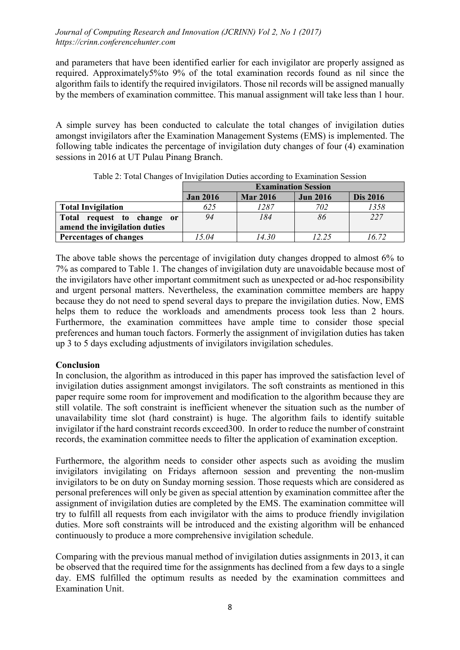and parameters that have been identified earlier for each invigilator are properly assigned as required. Approximately5%to 9% of the total examination records found as nil since the algorithm fails to identify the required invigilators. Those nil records will be assigned manually by the members of examination committee. This manual assignment will take less than 1 hour.

A simple survey has been conducted to calculate the total changes of invigilation duties amongst invigilators after the Examination Management Systems (EMS) is implemented. The following table indicates the percentage of invigilation duty changes of four (4) examination sessions in 2016 at UT Pulau Pinang Branch.

|                                      |                 | <b>Examination Session</b> |                 |                 |  |  |  |  |  |  |
|--------------------------------------|-----------------|----------------------------|-----------------|-----------------|--|--|--|--|--|--|
|                                      | <b>Jan 2016</b> | <b>Mar 2016</b>            | <b>Jun 2016</b> | <b>Dis 2016</b> |  |  |  |  |  |  |
| <b>Total Invigilation</b>            | 625             | 1287                       | 702             | 1358            |  |  |  |  |  |  |
| request to change or<br><b>Total</b> | 94              | 184                        | 86              | 227             |  |  |  |  |  |  |
| amend the invigilation duties        |                 |                            |                 |                 |  |  |  |  |  |  |
| Percentages of changes               | 15.04           | 14.30                      | 12.25           | 16.72           |  |  |  |  |  |  |

Table 2: Total Changes of Invigilation Duties according to Examination Session

The above table shows the percentage of invigilation duty changes dropped to almost 6% to 7% as compared to Table 1. The changes of invigilation duty are unavoidable because most of the invigilators have other important commitment such as unexpected or ad-hoc responsibility and urgent personal matters. Nevertheless, the examination committee members are happy because they do not need to spend several days to prepare the invigilation duties. Now, EMS helps them to reduce the workloads and amendments process took less than 2 hours. Furthermore, the examination committees have ample time to consider those special preferences and human touch factors. Formerly the assignment of invigilation duties has taken up 3 to 5 days excluding adjustments of invigilators invigilation schedules.

## **Conclusion**

In conclusion, the algorithm as introduced in this paper has improved the satisfaction level of invigilation duties assignment amongst invigilators. The soft constraints as mentioned in this paper require some room for improvement and modification to the algorithm because they are still volatile. The soft constraint is inefficient whenever the situation such as the number of unavailability time slot (hard constraint) is huge. The algorithm fails to identify suitable invigilator if the hard constraint records exceed300. In order to reduce the number of constraint records, the examination committee needs to filter the application of examination exception.

Furthermore, the algorithm needs to consider other aspects such as avoiding the muslim invigilators invigilating on Fridays afternoon session and preventing the non-muslim invigilators to be on duty on Sunday morning session. Those requests which are considered as personal preferences will only be given as special attention by examination committee after the assignment of invigilation duties are completed by the EMS. The examination committee will try to fulfill all requests from each invigilator with the aims to produce friendly invigilation duties. More soft constraints will be introduced and the existing algorithm will be enhanced continuously to produce a more comprehensive invigilation schedule.

Comparing with the previous manual method of invigilation duties assignments in 2013, it can be observed that the required time for the assignments has declined from a few days to a single day. EMS fulfilled the optimum results as needed by the examination committees and Examination Unit.